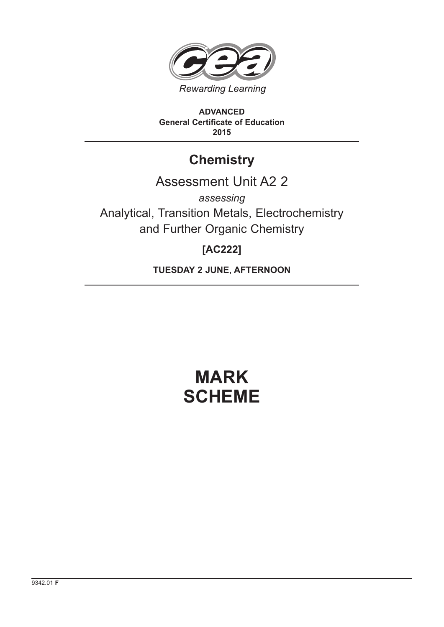

**ADVANCED General Certificate of Education 2015**

## **Chemistry**

### Assessment Unit A2 2

*assessing* Analytical, Transition Metals, Electrochemistry and Further Organic Chemistry

### **[AC222]**

**TUESDAY 2 JUNE, AFTERNOON**

# **MARK SCHEME**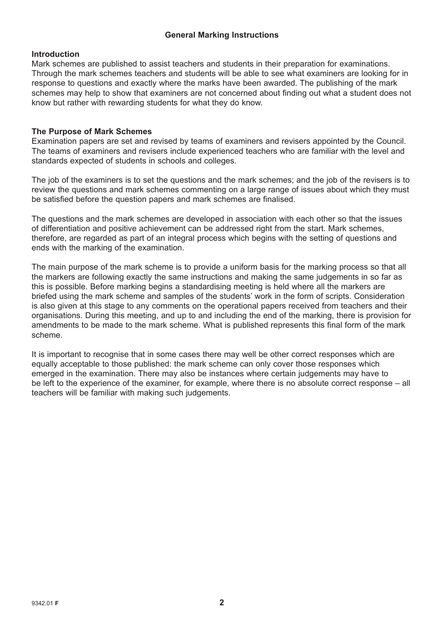#### **General Marking Instructions**

#### **Introduction**

Mark schemes are published to assist teachers and students in their preparation for examinations. Through the mark schemes teachers and students will be able to see what examiners are looking for in response to questions and exactly where the marks have been awarded. The publishing of the mark schemes may help to show that examiners are not concerned about finding out what a student does not know but rather with rewarding students for what they do know.

#### **The Purpose of Mark Schemes**

Examination papers are set and revised by teams of examiners and revisers appointed by the Council. The teams of examiners and revisers include experienced teachers who are familiar with the level and standards expected of students in schools and colleges.

The job of the examiners is to set the questions and the mark schemes; and the job of the revisers is to review the questions and mark schemes commenting on a large range of issues about which they must be satisfied before the question papers and mark schemes are finalised.

The questions and the mark schemes are developed in association with each other so that the issues of differentiation and positive achievement can be addressed right from the start. Mark schemes, therefore, are regarded as part of an integral process which begins with the setting of questions and ends with the marking of the examination.

The main purpose of the mark scheme is to provide a uniform basis for the marking process so that all the markers are following exactly the same instructions and making the same judgements in so far as this is possible. Before marking begins a standardising meeting is held where all the markers are briefed using the mark scheme and samples of the students' work in the form of scripts. Consideration is also given at this stage to any comments on the operational papers received from teachers and their organisations. During this meeting, and up to and including the end of the marking, there is provision for amendments to be made to the mark scheme. What is published represents this final form of the mark scheme.

It is important to recognise that in some cases there may well be other correct responses which are equally acceptable to those published: the mark scheme can only cover those responses which emerged in the examination. There may also be instances where certain judgements may have to be left to the experience of the examiner, for example, where there is no absolute correct response – all teachers will be familiar with making such judgements.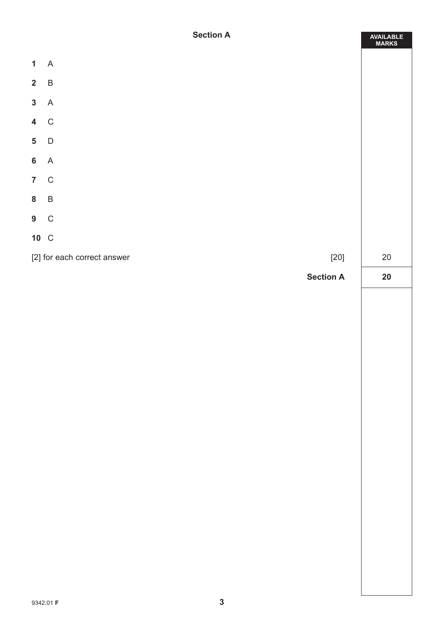|                | <b>Section A</b>                      | AVAILABLE<br>MARKS |
|----------------|---------------------------------------|--------------------|
| 1 A            |                                       |                    |
| $2 \quad B$    |                                       |                    |
| 3 A            |                                       |                    |
| 4 C            |                                       |                    |
| $5\phantom{a}$ | $\mathsf{D}$                          |                    |
| $6\phantom{a}$ | $\overline{A}$                        |                    |
| $7\quad C$     |                                       |                    |
| 8 B            |                                       |                    |
| $9\quad C$     |                                       |                    |
| 10 C           |                                       |                    |
|                | [2] for each correct answer<br>$[20]$ | $20\,$             |
|                | <b>Section A</b>                      | 20                 |
|                |                                       |                    |
|                |                                       |                    |
|                |                                       |                    |
|                |                                       |                    |
|                |                                       |                    |
|                |                                       |                    |
|                |                                       |                    |
|                |                                       |                    |
|                |                                       |                    |
|                |                                       |                    |
|                |                                       |                    |
|                |                                       |                    |
|                |                                       |                    |
|                |                                       |                    |
|                |                                       |                    |
|                | $\mathbf{3}$<br>9342.01 F             |                    |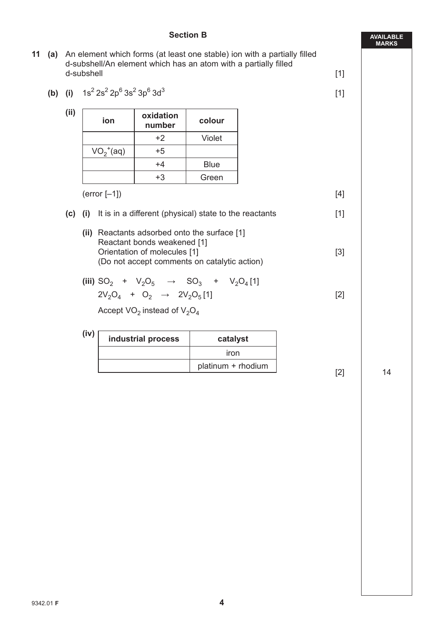#### **Section B**

- **11 (a)** An element which forms (at least one stable) ion with a partially filled d-subshell/An element which has an atom with a partially filled d-subshell [1]
	- **(b)** (i)  $1s^2 2s^2 2p^6 3s^2 3p^6 3d^3$  [1]

**(ii)** 

| ion          | oxidation<br>number | colour |
|--------------|---------------------|--------|
|              | $+2$                | Violet |
| $VO_2^+(aq)$ | $+5$                |        |
|              | $+4$                | Blue   |
|              | +3                  | Green  |

 $(error [-1])$  [4]

- **(c) (i)** It is in a different (physical) state to the reactants [1]
	- **(ii)** Reactants adsorbed onto the surface [1] Reactant bonds weakened [1] Orientation of molecules [1] [3] (Do not accept comments on catalytic action)
	- $(iii)$  SO<sub>2</sub> + V<sub>2</sub>O<sub>5</sub>  $\rightarrow$  SO<sub>3</sub> + V<sub>2</sub>O<sub>4</sub>[1]  $2V_2O_4$  +  $O_2$   $\rightarrow$   $2V_2O_5$  [1] [2]

Ī

Accept  $VO<sub>2</sub>$  instead of  $V<sub>2</sub>O<sub>4</sub>$ 

 **(iv) industrial process catalyst** iron platinum + rhodium [2] 14

**AVAILABLE MARKS**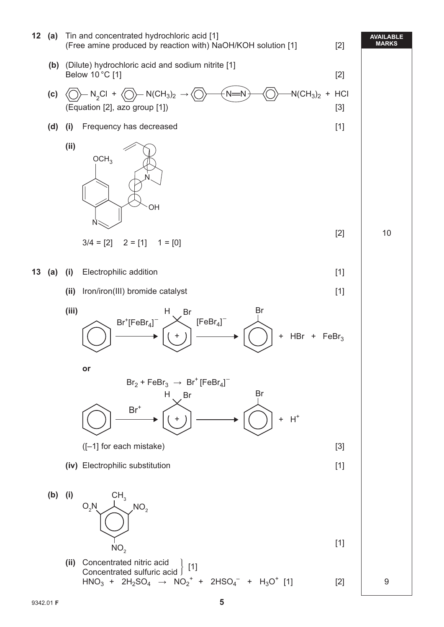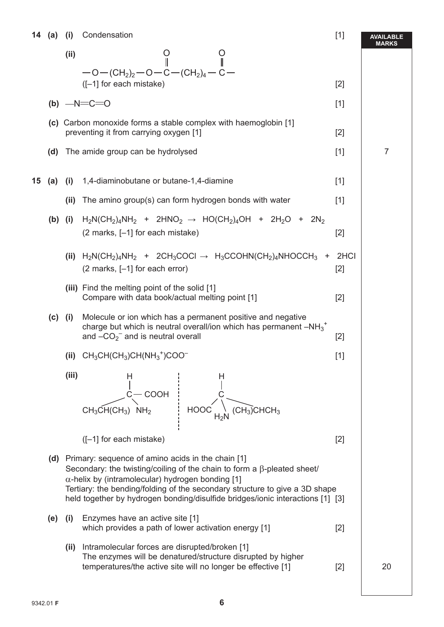**14 (a) (i)** Condensation [1]

|    |     |           | 14 (a) (i) Condensation                                                                                                                                                                                                                                                                                                                                              | $[1]$         | AVAILABLE<br><b>MARKS</b> |
|----|-----|-----------|----------------------------------------------------------------------------------------------------------------------------------------------------------------------------------------------------------------------------------------------------------------------------------------------------------------------------------------------------------------------|---------------|---------------------------|
|    |     | (ii)      | $\frac{0}{\parallel}$<br>$-$ O $-$ (CH <sub>2</sub> ) <sub>2</sub> $-$ O $-$ C $-$ (CH <sub>2</sub> ) <sub>4</sub> $-$ C $-$                                                                                                                                                                                                                                         |               |                           |
|    |     |           | $([-1]$ for each mistake)                                                                                                                                                                                                                                                                                                                                            | $[2]$         |                           |
|    |     |           | (b) $-N=C=0$                                                                                                                                                                                                                                                                                                                                                         | $[1]$         |                           |
|    |     |           | (c) Carbon monoxide forms a stable complex with haemoglobin [1]<br>preventing it from carrying oxygen [1]                                                                                                                                                                                                                                                            | $[2]$         |                           |
|    |     |           | (d) The amide group can be hydrolysed                                                                                                                                                                                                                                                                                                                                | $[1]$         | $\overline{7}$            |
| 15 | (a) |           | (i) 1,4-diaminobutane or butane-1,4-diamine                                                                                                                                                                                                                                                                                                                          | $[1]$         |                           |
|    |     | (ii)      | The amino group(s) can form hydrogen bonds with water                                                                                                                                                                                                                                                                                                                | $[1]$         |                           |
|    |     |           | (b) (i) $H_2N(CH_2)_4NH_2$ + 2HNO <sub>2</sub> $\rightarrow$ HO(CH <sub>2</sub> ) <sub>4</sub> OH + 2H <sub>2</sub> O + 2N <sub>2</sub><br>(2 marks, [-1] for each mistake)                                                                                                                                                                                          | $[2]$         |                           |
|    |     |           | (ii) $H_2N(CH_2)_4NH_2$ + 2CH <sub>3</sub> COCI $\rightarrow H_3CCOHN(CH_2)_4NHOCCH_3$ +<br>$(2 \text{ marks}, [-1]$ for each error)                                                                                                                                                                                                                                 | 2HCI<br>$[2]$ |                           |
|    |     |           | (iii) Find the melting point of the solid [1]<br>Compare with data book/actual melting point [1]                                                                                                                                                                                                                                                                     | $[2]$         |                           |
|    |     | $(c)$ (i) | Molecule or ion which has a permanent positive and negative<br>charge but which is neutral overall/ion which has permanent $-NH_3^+$<br>and $-CO_2^-$ and is neutral overall                                                                                                                                                                                         | $[2]$         |                           |
|    |     |           | (ii) $CH_3CH(CH_3)CH(NH_3^+)COO^-$                                                                                                                                                                                                                                                                                                                                   | $[1]$         |                           |
|    |     | (iii)     | н<br>COOH<br>$\overline{(\text{CH}_3)}$ CHCH <sub>3</sub><br><b>HOOC</b><br>$CH_3CH(CH_3)$ NH <sub>2</sub>                                                                                                                                                                                                                                                           |               |                           |
|    |     |           | $([-1]$ for each mistake)                                                                                                                                                                                                                                                                                                                                            | $[2]$         |                           |
|    |     |           | (d) Primary: sequence of amino acids in the chain [1]<br>Secondary: the twisting/coiling of the chain to form a $\beta$ -pleated sheet/<br>$\alpha$ -helix by (intramolecular) hydrogen bonding [1]<br>Tertiary: the bending/folding of the secondary structure to give a 3D shape<br>held together by hydrogen bonding/disulfide bridges/ionic interactions [1] [3] |               |                           |
|    | (e) | (i)       | Enzymes have an active site [1]<br>which provides a path of lower activation energy [1]                                                                                                                                                                                                                                                                              | $[2]$         |                           |
|    |     | (ii)      | Intramolecular forces are disrupted/broken [1]<br>The enzymes will be denatured/structure disrupted by higher<br>temperatures/the active site will no longer be effective [1]                                                                                                                                                                                        | $[2]$         | 20                        |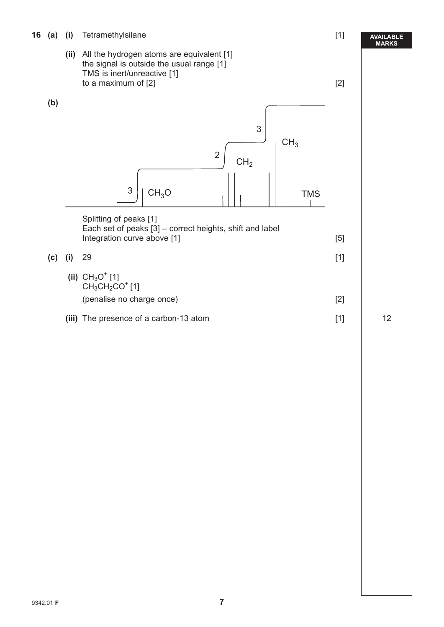- **16 (a) (i)** Tetramethylsilane[1]
	- **(ii)** All the hydrogen atoms are equivalent [1] the signal is outside the usual range [1] TMS is inert/unreactive [1] to a maximum of  $[2]$  [2]



|       | Splitting of peaks [1]<br>Each set of peaks [3] – correct heights, shift and label<br>Integration curve above [1] | [5] |
|-------|-------------------------------------------------------------------------------------------------------------------|-----|
| (C) — | -29                                                                                                               | [1] |
|       | (ii) $CH_3O^+$ [1]<br>CH <sub>3</sub> CH <sub>2</sub> CO <sup>+</sup> [1]                                         |     |

(penalise no charge once) [2]

(iii) The presence of a carbon-13 atom [1] 12

 $\overline{\phantom{a}}$ 

**(b)**

**AVAILABLE MARKS**